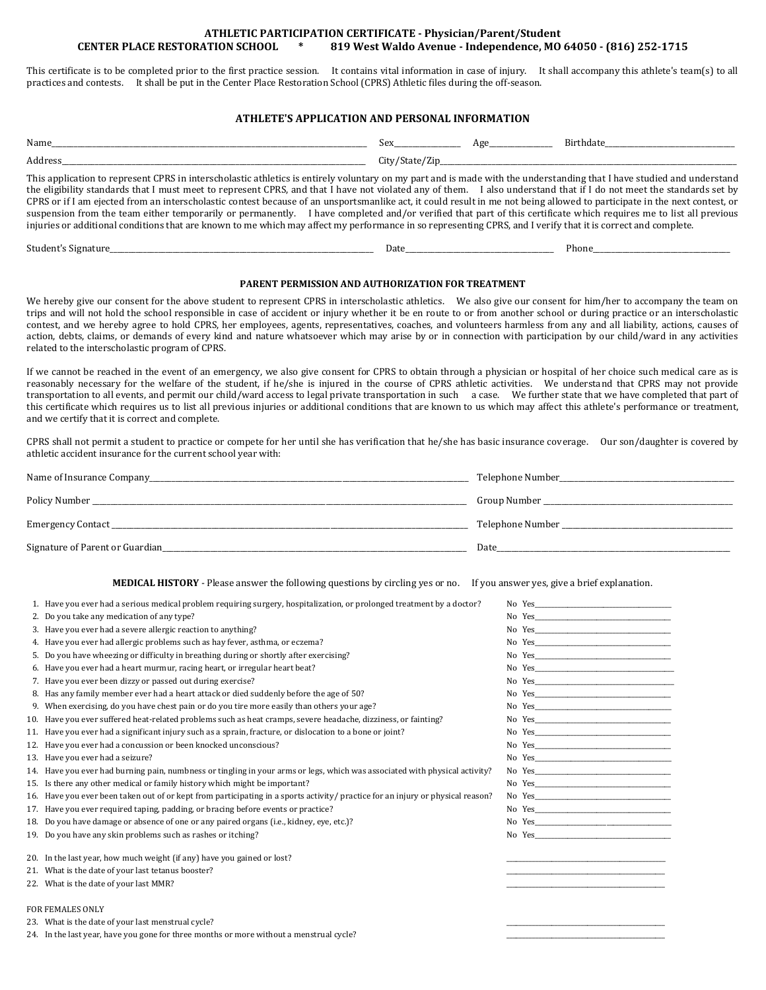## **ATHLETIC PARTICIPATION CERTIFICATE - Physician/Parent/Student CENTER PLACE RESTORATION SCHOOL \* 819 West Waldo Avenue - Independence, MO 64050 - (816) 252-1715**

This certificate is to be completed prior to the first practice session. It contains vital information in case of injury. It shall accompany this athlete's team(s) to all practices and contests. It shall be put in the Center Place Restoration School (CPRS) Athletic files during the off-season.

## **ATHLETE'S APPLICATION AND PERSONAL INFORMATION**

| Name                                                                                                                                                                                                                                                                                                                                                                                                                                                                                                                                                                                                                                                                                                                                                                                                                                                              | Sex            | Age | Birthdate |
|-------------------------------------------------------------------------------------------------------------------------------------------------------------------------------------------------------------------------------------------------------------------------------------------------------------------------------------------------------------------------------------------------------------------------------------------------------------------------------------------------------------------------------------------------------------------------------------------------------------------------------------------------------------------------------------------------------------------------------------------------------------------------------------------------------------------------------------------------------------------|----------------|-----|-----------|
| Address                                                                                                                                                                                                                                                                                                                                                                                                                                                                                                                                                                                                                                                                                                                                                                                                                                                           | City/State/Zip |     |           |
| This application to represent CPRS in interscholastic athletics is entirely voluntary on my part and is made with the understanding that I have studied and understand<br>the eligibility standards that I must meet to represent CPRS, and that I have not violated any of them. I also understand that if I do not meet the standards set by<br>CPRS or if I am ejected from an interscholastic contest because of an unsportsmanlike act, it could result in me not being allowed to participate in the next contest, or<br>suspension from the team either temporarily or permanently. I have completed and/or verified that part of this certificate which requires me to list all previous<br>injuries or additional conditions that are known to me which may affect my performance in so representing CPRS, and I verify that it is correct and complete. |                |     |           |

Student's Signature\_\_\_\_\_\_\_\_\_\_\_\_\_\_\_\_\_\_\_\_\_\_\_\_\_\_\_\_\_\_\_\_\_\_\_\_\_\_\_\_\_\_\_\_\_\_\_\_\_\_\_\_\_\_\_\_\_\_\_\_\_\_\_\_\_\_\_\_\_\_\_ Date\_\_\_\_\_\_\_\_\_\_\_\_\_\_\_\_\_\_\_\_\_\_\_\_\_\_\_\_\_\_\_\_\_\_\_\_\_\_\_\_ Phone\_\_\_\_\_\_\_\_\_\_\_\_\_\_\_\_\_\_\_\_\_\_\_\_\_\_\_\_\_\_\_\_\_\_\_\_\_

## **PARENT PERMISSION AND AUTHORIZATION FOR TREATMENT**

We hereby give our consent for the above student to represent CPRS in interscholastic athletics. We also give our consent for him/her to accompany the team on trips and will not hold the school responsible in case of accident or injury whether it be en route to or from another school or during practice or an interscholastic contest, and we hereby agree to hold CPRS, her employees, agents, representatives, coaches, and volunteers harmless from any and all liability, actions, causes of action, debts, claims, or demands of every kind and nature whatsoever which may arise by or in connection with participation by our child/ward in any activities related to the interscholastic program of CPRS.

If we cannot be reached in the event of an emergency, we also give consent for CPRS to obtain through a physician or hospital of her choice such medical care as is reasonably necessary for the welfare of the student, if he/she is injured in the course of CPRS athletic activities. We understand that CPRS may not provide transportation to all events, and permit our child/ward access to legal private transportation in such a case. We further state that we have completed that part of this certificate which requires us to list all previous injuries or additional conditions that are known to us which may affect this athlete's performance or treatment, and we certify that it is correct and complete.

CPRS shall not permit a student to practice or compete for her until she has verification that he/she has basic insurance coverage. Our son/daughter is covered by athletic accident insurance for the current school year with:

| Name of Insurance Company       | Telephone Number |
|---------------------------------|------------------|
| Policy Number                   | Group Number     |
| Emergency Contact               | Telephone Number |
| Signature of Parent or Guardian | Date             |

**MEDICAL HISTORY** - Please answer the following questions by circling yes or no. If you answer yes, give a brief explanation.

| 1. Have you ever had a serious medical problem requiring surgery, hospitalization, or prolonged treatment by a doctor?         |        |
|--------------------------------------------------------------------------------------------------------------------------------|--------|
| 2. Do you take any medication of any type?                                                                                     |        |
| 3. Have you ever had a severe allergic reaction to anything?                                                                   |        |
| 4. Have you ever had allergic problems such as hay fever, asthma, or eczema?                                                   |        |
| 5. Do you have wheezing or difficulty in breathing during or shortly after exercising?                                         |        |
| 6. Have you ever had a heart murmur, racing heart, or irregular heart beat?                                                    |        |
| 7. Have you ever been dizzy or passed out during exercise?                                                                     |        |
| 8. Has any family member ever had a heart attack or died suddenly before the age of 50?                                        |        |
| 9. When exercising, do you have chest pain or do you tire more easily than others your age?                                    |        |
| 10. Have you ever suffered heat-related problems such as heat cramps, severe headache, dizziness, or fainting?                 |        |
| 11. Have you ever had a significant injury such as a sprain, fracture, or dislocation to a bone or joint?                      |        |
| 12. Have you ever had a concussion or been knocked unconscious?                                                                |        |
| 13. Have you ever had a seizure?                                                                                               |        |
| 14. Have you ever had burning pain, numbness or tingling in your arms or legs, which was associated with physical activity?    |        |
| 15. Is there any other medical or family history which might be important?                                                     | No Yes |
| 16. Have you ever been taken out of or kept from participating in a sports activity/practice for an injury or physical reason? |        |
| 17. Have you ever required taping, padding, or bracing before events or practice?                                              |        |
| 18. Do you have damage or absence of one or any paired organs (i.e., kidney, eye, etc.)?                                       |        |
| 19. Do you have any skin problems such as rashes or itching?                                                                   |        |
| 20. In the last year, how much weight (if any) have you gained or lost?                                                        |        |
| 21. What is the date of your last tetanus booster?                                                                             |        |
| 22. What is the date of your last MMR?                                                                                         |        |
| <b>FOR FEMALES ONLY</b>                                                                                                        |        |
| 23. What is the date of your last menstrual cycle?                                                                             |        |
| 24. In the last year, have you gone for three months or more without a menstrual cycle?                                        |        |